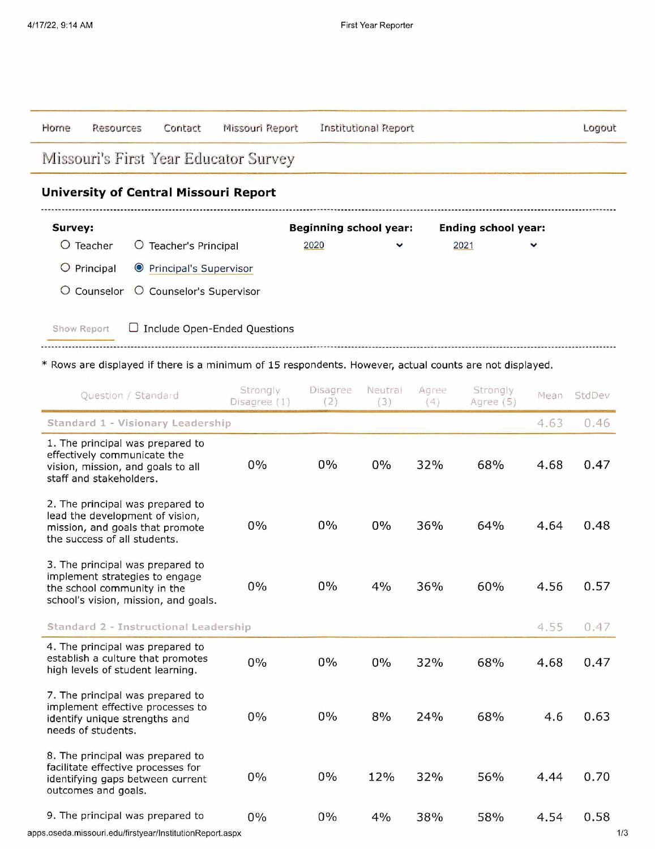| Horne                                        | <b>Resources</b>  | Contact                         | Missouri Report               | Institutional Report |                            |      |              | Logout |  |
|----------------------------------------------|-------------------|---------------------------------|-------------------------------|----------------------|----------------------------|------|--------------|--------|--|
| Missouri's First Year Educator Survey        |                   |                                 |                               |                      |                            |      |              |        |  |
| <b>University of Central Missouri Report</b> |                   |                                 |                               |                      |                            |      |              |        |  |
| Survey:                                      |                   |                                 | <b>Beginning school year:</b> |                      | <b>Ending school year:</b> |      |              |        |  |
| $\circ$                                      | Teacher<br>$\cup$ | Teacher's Principal             |                               | 2020                 | ▿                          | 2021 | $\checkmark$ |        |  |
| $\circ$                                      | Principal         | <b>O</b> Principal's Supervisor |                               |                      |                            |      |              |        |  |
| $\circ$                                      | Counselor         | O Counselor's Supervisor        |                               |                      |                            |      |              |        |  |
| Show Report                                  |                   |                                 | Include Open-Ended Questions  |                      |                            |      |              |        |  |

| VALUAÇÃO DE VALUAÇÃO VALUAÇÃO DE CARA VALUAÇÃO COM VALUAÇÃO DE COMPANDADE DE VALUAÇÃO DE COMPANDADE DE VALUAÇÃO DE VALUAÇÃO DE VALUAÇÃO DE VALUAÇÃO DE VALUAÇÃO DE VALUAÇÃO DE VALUAÇÃO DE VALUAÇÃO DE VALUAÇÃO DE VALUAÇÃO DE |  |  |
|--------------------------------------------------------------------------------------------------------------------------------------------------------------------------------------------------------------------------------|--|--|
|                                                                                                                                                                                                                                |  |  |

## \* Rows are displayed if there is a minimum of 15 respondents. However, actual counts are not displayed.

| Question / Standard                                                                                                                       | Strongly<br>Disagree (1) | Disagree<br>(2) | Neutral<br>(3) | Agree<br>(4) | Strongly<br>Agree (5) | Mean | StdDev |
|-------------------------------------------------------------------------------------------------------------------------------------------|--------------------------|-----------------|----------------|--------------|-----------------------|------|--------|
| Standard 1 - Visionary Leadership                                                                                                         |                          |                 |                |              |                       | 4.63 | 0.46   |
| 1. The principal was prepared to<br>effectively communicate the<br>vision, mission, and goals to all<br>staff and stakeholders.           | $0\%$                    | 0%              | 0%             | 32%          | 68%                   | 4.68 | 0.47   |
| 2. The principal was prepared to<br>lead the development of vision,<br>mission, and goals that promote<br>the success of all students.    | 0%                       | 0%              | 0%             | 36%          | 64%                   | 4.64 | 0.48   |
| 3. The principal was prepared to<br>implement strategies to engage<br>the school community in the<br>school's vision, mission, and goals. | 0%                       | 0%              | 4%             | 36%          | 60%                   | 4.56 | 0.57   |
| Standard 2 - Instructional Leadership                                                                                                     |                          |                 |                |              |                       | 4.55 | 0.47   |
| 4. The principal was prepared to<br>establish a culture that promotes<br>high levels of student learning.                                 | 0%                       | 0%              | 0%             | 32%          | 68%                   | 4.68 | 0.47   |
| 7. The principal was prepared to<br>implement effective processes to<br>identify unique strengths and<br>needs of students.               | $0\%$                    | 0%              | 8%             | 24%          | 68%                   | 4.6  | 0.63   |
| 8. The principal was prepared to<br>facilitate effective processes for<br>identifying gaps between current<br>outcomes and goals.         | $0\%$                    | 0%              | 12%            | 32%          | 56%                   | 4.44 | 0.70   |
| 9. The principal was prepared to                                                                                                          | 0%                       | $0\%$           | 4%             | 38%          | 58%                   | 4.54 | 0.58   |

apps.oseda.missouri.edu/firstyear/lnstitutionReport.aspx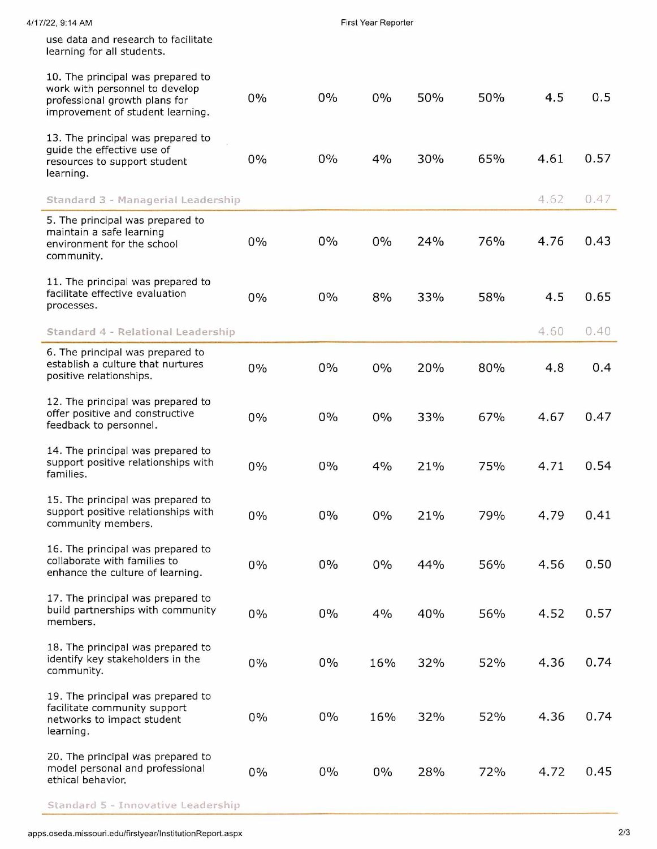| 4/17/22, 9:14 AM |                                                                                                                                          | First Year Reporter |       |       |     |     |      |      |
|------------------|------------------------------------------------------------------------------------------------------------------------------------------|---------------------|-------|-------|-----|-----|------|------|
|                  | use data and research to facilitate<br>learning for all students.                                                                        |                     |       |       |     |     |      |      |
|                  | 10. The principal was prepared to<br>work with personnel to develop<br>professional growth plans for<br>improvement of student learning. | $0\%$               | 0%    | $0\%$ | 50% | 50% | 4.5  | 0.5  |
|                  | 13. The principal was prepared to<br>guide the effective use of<br>resources to support student<br>learning.                             | 0%                  | $0\%$ | 4%    | 30% | 65% | 4.61 | 0.57 |
|                  | Standard 3 - Managerial Leadership                                                                                                       |                     |       |       |     |     | 4.62 | 0.47 |
|                  | 5. The principal was prepared to<br>maintain a safe learning<br>environment for the school<br>community.                                 | 0%                  | $0\%$ | $0\%$ | 24% | 76% | 4.76 | 0.43 |
|                  | 11. The principal was prepared to<br>facilitate effective evaluation<br>processes.                                                       | 0%                  | $0\%$ | 8%    | 33% | 58% | 4.5  | 0.65 |
|                  | Standard 4 - Relational Leadership                                                                                                       |                     |       |       |     |     | 4.60 | 0.40 |
|                  | 6. The principal was prepared to<br>establish a culture that nurtures<br>positive relationships.                                         | 0%                  | $0\%$ | 0%    | 20% | 80% | 4.8  | 0.4  |
|                  | 12. The principal was prepared to<br>offer positive and constructive<br>feedback to personnel.                                           | 0%                  | $0\%$ | 0%    | 33% | 67% | 4.67 | 0.47 |
|                  | 14. The principal was prepared to<br>support positive relationships with<br>families.                                                    | 0%                  | $0\%$ | 4%    | 21% | 75% | 4.71 | 0.54 |
|                  | 15. The principal was prepared to<br>support positive relationships with<br>community members.                                           | 0%                  | $0\%$ | $0\%$ | 21% | 79% | 4.79 | 0.41 |
|                  | 16. The principal was prepared to<br>collaborate with families to<br>enhance the culture of learning.                                    | $0\%$               | $0\%$ | 0%    | 44% | 56% | 4.56 | 0.50 |
|                  | 17. The principal was prepared to<br>build partnerships with community<br>members.                                                       | $0\%$               | $0\%$ | 4%    | 40% | 56% | 4.52 | 0.57 |
|                  | 18. The principal was prepared to<br>identify key stakeholders in the<br>community.                                                      | $0\%$               | $0\%$ | 16%   | 32% | 52% | 4.36 | 0.74 |
|                  | 19. The principal was prepared to<br>facilitate community support<br>networks to impact student<br>learning.                             | $0\%$               | $0\%$ | 16%   | 32% | 52% | 4.36 | 0.74 |
|                  | 20. The principal was prepared to<br>model personal and professional<br>ethical behavior.                                                | $0\%$               | 0%    | $0\%$ | 28% | 72% | 4.72 | 0.45 |
|                  | Standard 5 - Innovative Leadership                                                                                                       |                     |       |       |     |     |      |      |